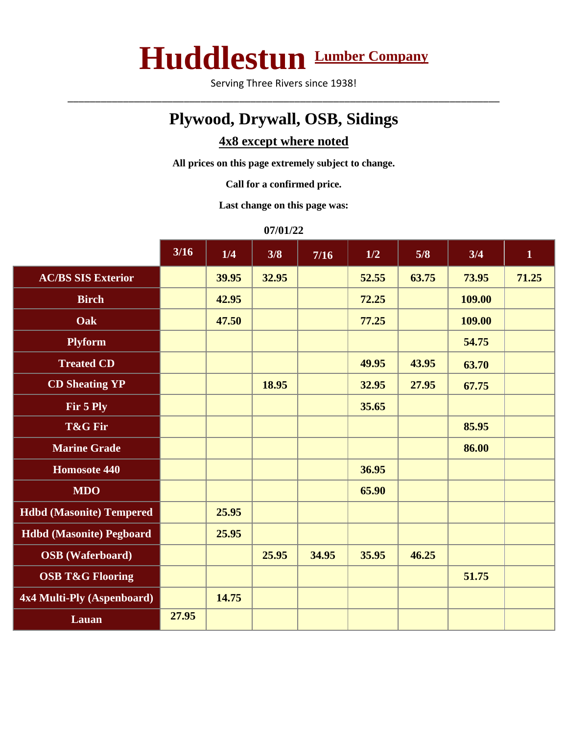## **Huddlestun Lumber Company**

Serving Three Rivers since 1938! \_\_\_\_\_\_\_\_\_\_\_\_\_\_\_\_\_\_\_\_\_\_\_\_\_\_\_\_\_\_\_\_\_\_\_\_\_\_\_\_\_\_\_\_\_\_\_\_\_\_\_\_\_\_\_\_\_\_\_\_\_\_\_\_\_\_\_\_\_\_\_\_\_\_\_\_\_\_

## **Plywood, Drywall, OSB, Sidings**

## **4x8 except where noted**

**All prices on this page extremely subject to change.**

**Call for a confirmed price.**

**Last change on this page was:**

**07/01/22**

|                                 | $3/16$ | 1/4   | 3/8   | $7/16$ | 1/2   | 5/8   | 3/4    | $\mathbf{1}$ |
|---------------------------------|--------|-------|-------|--------|-------|-------|--------|--------------|
| <b>AC/BS SIS Exterior</b>       |        | 39.95 | 32.95 |        | 52.55 | 63.75 | 73.95  | 71.25        |
| <b>Birch</b>                    |        | 42.95 |       |        | 72.25 |       | 109.00 |              |
| Oak                             |        | 47.50 |       |        | 77.25 |       | 109.00 |              |
| <b>Plyform</b>                  |        |       |       |        |       |       | 54.75  |              |
| <b>Treated CD</b>               |        |       |       |        | 49.95 | 43.95 | 63.70  |              |
| <b>CD Sheating YP</b>           |        |       | 18.95 |        | 32.95 | 27.95 | 67.75  |              |
| Fir 5 Ply                       |        |       |       |        | 35.65 |       |        |              |
| T&G Fir                         |        |       |       |        |       |       | 85.95  |              |
| <b>Marine Grade</b>             |        |       |       |        |       |       | 86.00  |              |
| Homosote 440                    |        |       |       |        | 36.95 |       |        |              |
| <b>MDO</b>                      |        |       |       |        | 65.90 |       |        |              |
| <b>Hdbd</b> (Masonite) Tempered |        | 25.95 |       |        |       |       |        |              |
| <b>Hdbd</b> (Masonite) Pegboard |        | 25.95 |       |        |       |       |        |              |
| <b>OSB</b> (Waferboard)         |        |       | 25.95 | 34.95  | 35.95 | 46.25 |        |              |
| <b>OSB T&amp;G Flooring</b>     |        |       |       |        |       |       | 51.75  |              |
| 4x4 Multi-Ply (Aspenboard)      |        | 14.75 |       |        |       |       |        |              |
| Lauan                           | 27.95  |       |       |        |       |       |        |              |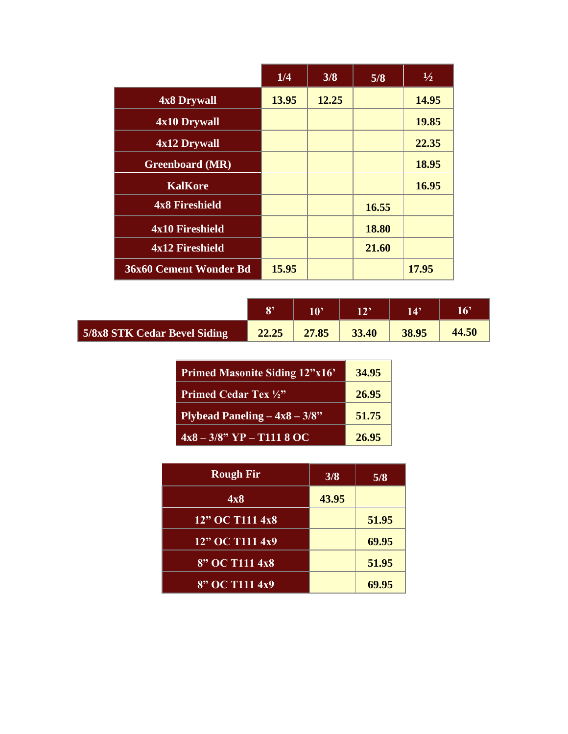|                        | 1/4   | 3/8   | 5/8   | $\frac{1}{2}$ |
|------------------------|-------|-------|-------|---------------|
| 4x8 Drywall            | 13.95 | 12.25 |       | 14.95         |
| 4x10 Drywall           |       |       |       | 19.85         |
| 4x12 Drywall           |       |       |       | 22.35         |
| <b>Greenboard</b> (MR) |       |       |       | 18.95         |
| <b>KalKore</b>         |       |       |       | 16.95         |
| <b>4x8 Fireshield</b>  |       |       | 16.55 |               |
| 4x10 Fireshield        |       |       | 18.80 |               |
| 4x12 Fireshield        |       |       | 21.60 |               |
| 36x60 Cement Wonder Bd | 15.95 |       |       | 17.95         |

|                              | 0,    | 1 A 9 | 179   | 14'   | 1 C)  |
|------------------------------|-------|-------|-------|-------|-------|
| 5/8x8 STK Cedar Bevel Siding | 22.25 | 27.85 | 33.40 | 38.95 | 44.50 |

| <b>Primed Masonite Siding 12"x16"</b>          | 34.95 |
|------------------------------------------------|-------|
| <b>Primed Cedar Tex 1/2"</b>                   | 26.95 |
| <b>Plybead Paneling <math>-4x8-3/8"</math></b> | 51.75 |
| $4x8 - 3/8$ " YP - T111 8 OC                   | 26.95 |

| <b>Rough Fir</b>   | 3/8   | 5/8   |
|--------------------|-------|-------|
| 4x8                | 43.95 |       |
| 12" OC T111 4x8    |       | 51.95 |
| 12" OC T111 4x9    |       | 69.95 |
| $8"$ OC T111 $4x8$ |       | 51.95 |
| 8" OC T111 4x9     |       | 69.95 |